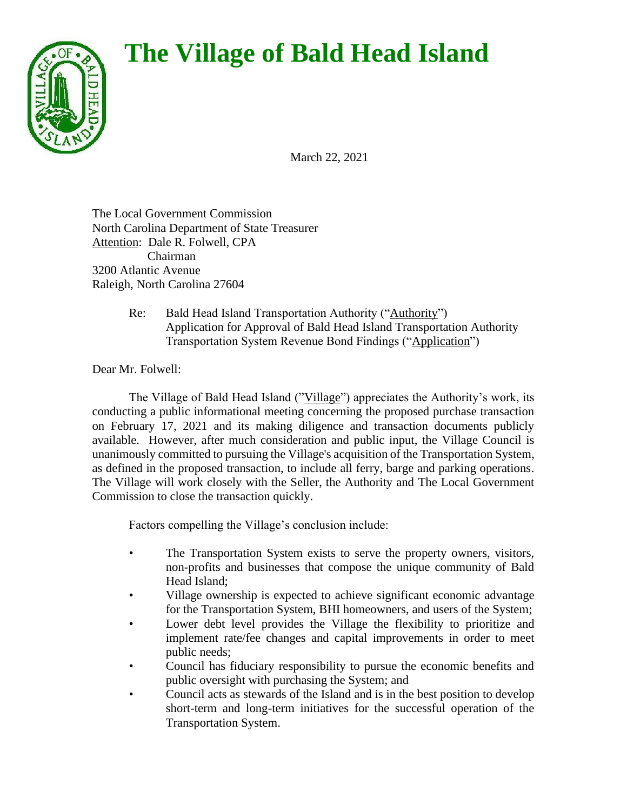## **The Village of Bald Head Island**



March 22, 2021

The Local Government Commission North Carolina Department of State Treasurer Attention: Dale R. Folwell, CPA Chairman 3200 Atlantic Avenue Raleigh, North Carolina 27604

> Re: Bald Head Island Transportation Authority ("Authority") Application for Approval of Bald Head Island Transportation Authority Transportation System Revenue Bond Findings ("Application")

Dear Mr. Folwell:

The Village of Bald Head Island ("Village") appreciates the Authority's work, its conducting a public informational meeting concerning the proposed purchase transaction on February 17, 2021 and its making diligence and transaction documents publicly available. However, after much consideration and public input, the Village Council is unanimously committed to pursuing the Village's acquisition of the Transportation System, as defined in the proposed transaction, to include all ferry, barge and parking operations. The Village will work closely with the Seller, the Authority and The Local Government Commission to close the transaction quickly.

Factors compelling the Village's conclusion include:

- The Transportation System exists to serve the property owners, visitors, non-profits and businesses that compose the unique community of Bald Head Island;
- Village ownership is expected to achieve significant economic advantage for the Transportation System, BHI homeowners, and users of the System;
- Lower debt level provides the Village the flexibility to prioritize and implement rate/fee changes and capital improvements in order to meet public needs;
- Council has fiduciary responsibility to pursue the economic benefits and public oversight with purchasing the System; and
- Council acts as stewards of the Island and is in the best position to develop short-term and long-term initiatives for the successful operation of the Transportation System.